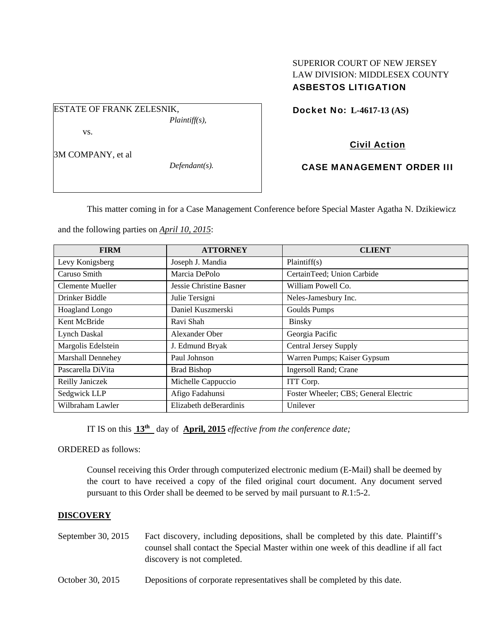## SUPERIOR COURT OF NEW JERSEY LAW DIVISION: MIDDLESEX COUNTY ASBESTOS LITIGATION

ESTATE OF FRANK ZELESNIK, *Plaintiff(s),* 

vs.

3M COMPANY, et al

*Defendant(s).* 

Docket No: **L-4617-13 (AS)** 

## Civil Action

## CASE MANAGEMENT ORDER III

This matter coming in for a Case Management Conference before Special Master Agatha N. Dzikiewicz

and the following parties on *April 10, 2015*:

| <b>FIRM</b>              | <b>ATTORNEY</b>         | <b>CLIENT</b>                         |
|--------------------------|-------------------------|---------------------------------------|
| Levy Konigsberg          | Joseph J. Mandia        | Plaintiff(s)                          |
| Caruso Smith             | Marcia DePolo           | CertainTeed; Union Carbide            |
| Clemente Mueller         | Jessie Christine Basner | William Powell Co.                    |
| Drinker Biddle           | Julie Tersigni          | Neles-Jamesbury Inc.                  |
| Hoagland Longo           | Daniel Kuszmerski       | Goulds Pumps                          |
| Kent McBride             | Ravi Shah               | <b>Binsky</b>                         |
| Lynch Daskal             | Alexander Ober          | Georgia Pacific                       |
| Margolis Edelstein       | J. Edmund Bryak         | <b>Central Jersey Supply</b>          |
| <b>Marshall Dennehey</b> | Paul Johnson            | Warren Pumps; Kaiser Gypsum           |
| Pascarella DiVita        | <b>Brad Bishop</b>      | <b>Ingersoll Rand</b> ; Crane         |
| Reilly Janiczek          | Michelle Cappuccio      | ITT Corp.                             |
| Sedgwick LLP             | Afigo Fadahunsi         | Foster Wheeler; CBS; General Electric |
| Wilbraham Lawler         | Elizabeth deBerardinis  | Unilever                              |

IT IS on this **13th** day of **April, 2015** *effective from the conference date;*

ORDERED as follows:

Counsel receiving this Order through computerized electronic medium (E-Mail) shall be deemed by the court to have received a copy of the filed original court document. Any document served pursuant to this Order shall be deemed to be served by mail pursuant to *R*.1:5-2.

## **DISCOVERY**

- September 30, 2015 Fact discovery, including depositions, shall be completed by this date. Plaintiff's counsel shall contact the Special Master within one week of this deadline if all fact discovery is not completed.
- October 30, 2015 Depositions of corporate representatives shall be completed by this date.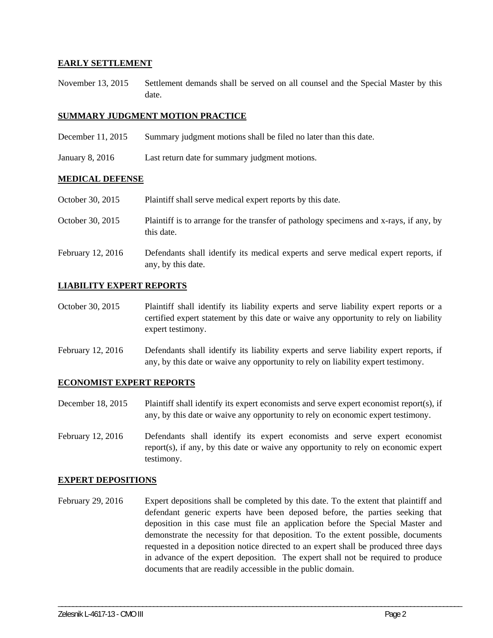## **EARLY SETTLEMENT**

November 13, 2015 Settlement demands shall be served on all counsel and the Special Master by this date.

## **SUMMARY JUDGMENT MOTION PRACTICE**

- December 11, 2015 Summary judgment motions shall be filed no later than this date.
- January 8, 2016 Last return date for summary judgment motions.

### **MEDICAL DEFENSE**

October 30, 2015 Plaintiff shall serve medical expert reports by this date.

- October 30, 2015 Plaintiff is to arrange for the transfer of pathology specimens and x-rays, if any, by this date.
- February 12, 2016 Defendants shall identify its medical experts and serve medical expert reports, if any, by this date.

### **LIABILITY EXPERT REPORTS**

- October 30, 2015 Plaintiff shall identify its liability experts and serve liability expert reports or a certified expert statement by this date or waive any opportunity to rely on liability expert testimony.
- February 12, 2016 Defendants shall identify its liability experts and serve liability expert reports, if any, by this date or waive any opportunity to rely on liability expert testimony.

### **ECONOMIST EXPERT REPORTS**

December 18, 2015 Plaintiff shall identify its expert economists and serve expert economist report(s), if any, by this date or waive any opportunity to rely on economic expert testimony.

February 12, 2016 Defendants shall identify its expert economists and serve expert economist report(s), if any, by this date or waive any opportunity to rely on economic expert testimony.

#### **EXPERT DEPOSITIONS**

February 29, 2016 Expert depositions shall be completed by this date. To the extent that plaintiff and defendant generic experts have been deposed before, the parties seeking that deposition in this case must file an application before the Special Master and demonstrate the necessity for that deposition. To the extent possible, documents requested in a deposition notice directed to an expert shall be produced three days in advance of the expert deposition. The expert shall not be required to produce documents that are readily accessible in the public domain.

\_\_\_\_\_\_\_\_\_\_\_\_\_\_\_\_\_\_\_\_\_\_\_\_\_\_\_\_\_\_\_\_\_\_\_\_\_\_\_\_\_\_\_\_\_\_\_\_\_\_\_\_\_\_\_\_\_\_\_\_\_\_\_\_\_\_\_\_\_\_\_\_\_\_\_\_\_\_\_\_\_\_\_\_\_\_\_\_\_\_\_\_\_\_\_\_\_\_\_\_\_\_\_\_\_\_\_\_\_\_